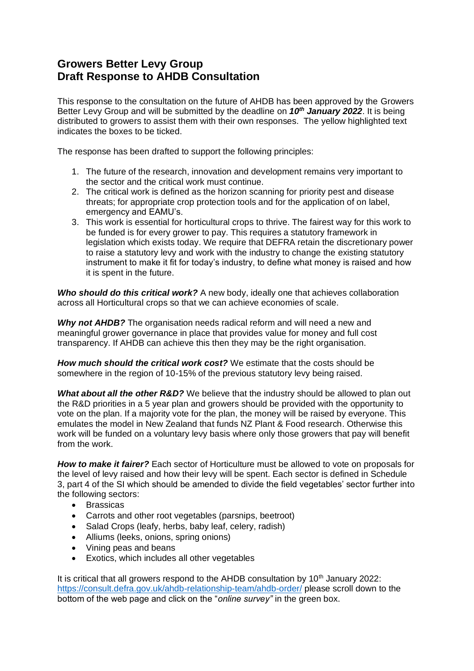# **Growers Better Levy Group Draft Response to AHDB Consultation**

This response to the consultation on the future of AHDB has been approved by the Growers Better Levy Group and will be submitted by the deadline on *10th January 2022*. It is being distributed to growers to assist them with their own responses. The yellow highlighted text indicates the boxes to be ticked.

The response has been drafted to support the following principles:

- 1. The future of the research, innovation and development remains very important to the sector and the critical work must continue.
- 2. The critical work is defined as the horizon scanning for priority pest and disease threats; for appropriate crop protection tools and for the application of on label, emergency and EAMU's.
- 3. This work is essential for horticultural crops to thrive. The fairest way for this work to be funded is for every grower to pay. This requires a statutory framework in legislation which exists today. We require that DEFRA retain the discretionary power to raise a statutory levy and work with the industry to change the existing statutory instrument to make it fit for today's industry, to define what money is raised and how it is spent in the future.

*Who should do this critical work?* A new body, ideally one that achieves collaboration across all Horticultural crops so that we can achieve economies of scale.

*Why not AHDB?* The organisation needs radical reform and will need a new and meaningful grower governance in place that provides value for money and full cost transparency. If AHDB can achieve this then they may be the right organisation.

*How much should the critical work cost?* We estimate that the costs should be somewhere in the region of 10-15% of the previous statutory levy being raised.

**What about all the other R&D?** We believe that the industry should be allowed to plan out the R&D priorities in a 5 year plan and growers should be provided with the opportunity to vote on the plan. If a majority vote for the plan, the money will be raised by everyone. This emulates the model in New Zealand that funds NZ Plant & Food research. Otherwise this work will be funded on a voluntary levy basis where only those growers that pay will benefit from the work.

*How to make it fairer?* Each sector of Horticulture must be allowed to vote on proposals for the level of levy raised and how their levy will be spent. Each sector is defined in Schedule 3, part 4 of the SI which should be amended to divide the field vegetables' sector further into the following sectors:

- **Brassicas**
- Carrots and other root vegetables (parsnips, beetroot)
- Salad Crops (leafy, herbs, baby leaf, celery, radish)
- Alliums (leeks, onions, spring onions)
- Vining peas and beans
- Exotics, which includes all other vegetables

It is critical that all growers respond to the AHDB consultation by  $10<sup>th</sup>$  January 2022: <https://consult.defra.gov.uk/ahdb-relationship-team/ahdb-order/> please scroll down to the bottom of the web page and click on the "*online survey"* in the green box.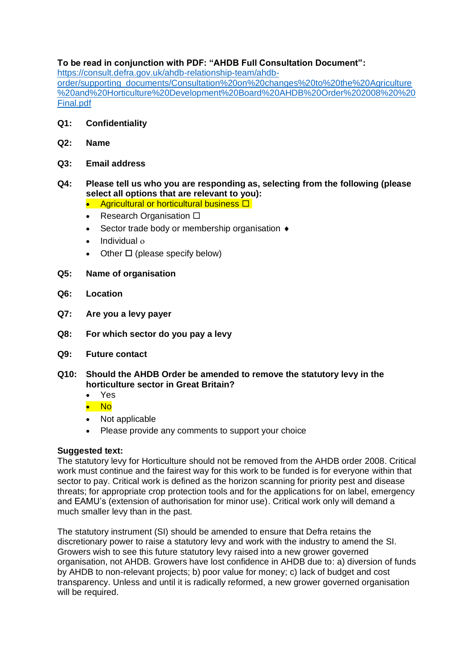# **To be read in conjunction with PDF: "AHDB Full Consultation Document":**

[https://consult.defra.gov.uk/ahdb-relationship-team/ahdb-](https://consult.defra.gov.uk/ahdb-relationship-team/ahdb-order/supporting_documents/Consultation%20on%20changes%20to%20the%20Agriculture%20and%20Horticulture%20Development%20Board%20AHDB%20Order%202008%20%20Final.pdf)

[order/supporting\\_documents/Consultation%20on%20changes%20to%20the%20Agriculture](https://consult.defra.gov.uk/ahdb-relationship-team/ahdb-order/supporting_documents/Consultation%20on%20changes%20to%20the%20Agriculture%20and%20Horticulture%20Development%20Board%20AHDB%20Order%202008%20%20Final.pdf) [%20and%20Horticulture%20Development%20Board%20AHDB%20Order%202008%20%20](https://consult.defra.gov.uk/ahdb-relationship-team/ahdb-order/supporting_documents/Consultation%20on%20changes%20to%20the%20Agriculture%20and%20Horticulture%20Development%20Board%20AHDB%20Order%202008%20%20Final.pdf) [Final.pdf](https://consult.defra.gov.uk/ahdb-relationship-team/ahdb-order/supporting_documents/Consultation%20on%20changes%20to%20the%20Agriculture%20and%20Horticulture%20Development%20Board%20AHDB%20Order%202008%20%20Final.pdf)

- **Q1: Confidentiality**
- **Q2: Name**
- **Q3: Email address**

# **Q4: Please tell us who you are responding as, selecting from the following (please select all options that are relevant to you):**

- Agricultural or horticultural business  $\square$
- Research Organisation  $\square$
- Sector trade body or membership organisation  $\bullet$
- Individual
- Other  $\Box$  (please specify below)
- **Q5: Name of organisation**
- **Q6: Location**
- **Q7: Are you a levy payer**
- **Q8: For which sector do you pay a levy**
- **Q9: Future contact**
- **Q10: Should the AHDB Order be amended to remove the statutory levy in the horticulture sector in Great Britain?**
	- Yes
	- No
	- Not applicable
	- Please provide any comments to support your choice

### **Suggested text:**

The statutory levy for Horticulture should not be removed from the AHDB order 2008. Critical work must continue and the fairest way for this work to be funded is for everyone within that sector to pay. Critical work is defined as the horizon scanning for priority pest and disease threats; for appropriate crop protection tools and for the applications for on label, emergency and EAMU's (extension of authorisation for minor use). Critical work only will demand a much smaller levy than in the past.

The statutory instrument (SI) should be amended to ensure that Defra retains the discretionary power to raise a statutory levy and work with the industry to amend the SI. Growers wish to see this future statutory levy raised into a new grower governed organisation, not AHDB. Growers have lost confidence in AHDB due to: a) diversion of funds by AHDB to non-relevant projects; b) poor value for money; c) lack of budget and cost transparency. Unless and until it is radically reformed, a new grower governed organisation will be required.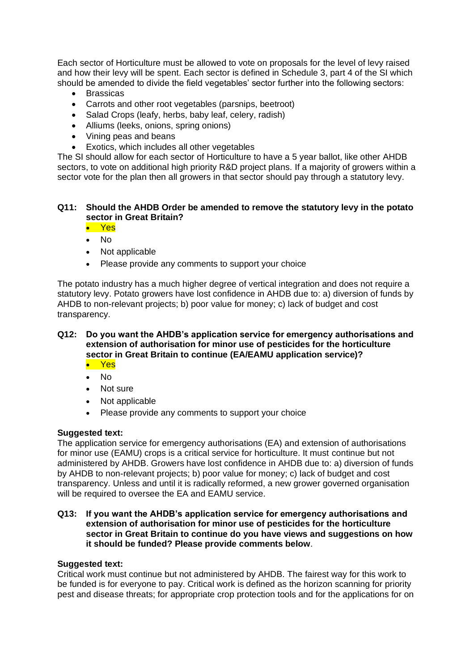Each sector of Horticulture must be allowed to vote on proposals for the level of levy raised and how their levy will be spent. Each sector is defined in Schedule 3, part 4 of the SI which should be amended to divide the field vegetables' sector further into the following sectors:

- Brassicas
- Carrots and other root vegetables (parsnips, beetroot)
- Salad Crops (leafy, herbs, baby leaf, celery, radish)
- Alliums (leeks, onions, spring onions)
- Vining peas and beans
- Exotics, which includes all other vegetables

The SI should allow for each sector of Horticulture to have a 5 year ballot, like other AHDB sectors, to vote on additional high priority R&D project plans. If a majority of growers within a sector vote for the plan then all growers in that sector should pay through a statutory levy.

### **Q11: Should the AHDB Order be amended to remove the statutory levy in the potato sector in Great Britain?**

• Yes

- No
- Not applicable
- Please provide any comments to support your choice

The potato industry has a much higher degree of vertical integration and does not require a statutory levy. Potato growers have lost confidence in AHDB due to: a) diversion of funds by AHDB to non-relevant projects; b) poor value for money; c) lack of budget and cost transparency.

# **Q12: Do you want the AHDB's application service for emergency authorisations and extension of authorisation for minor use of pesticides for the horticulture sector in Great Britain to continue (EA/EAMU application service)?**

- Yes
- No
- Not sure
- Not applicable
- Please provide any comments to support your choice

### **Suggested text:**

The application service for emergency authorisations (EA) and extension of authorisations for minor use (EAMU) crops is a critical service for horticulture. It must continue but not administered by AHDB. Growers have lost confidence in AHDB due to: a) diversion of funds by AHDB to non-relevant projects; b) poor value for money; c) lack of budget and cost transparency. Unless and until it is radically reformed, a new grower governed organisation will be required to oversee the EA and EAMU service.

#### **Q13: If you want the AHDB's application service for emergency authorisations and extension of authorisation for minor use of pesticides for the horticulture sector in Great Britain to continue do you have views and suggestions on how it should be funded? Please provide comments below**.

### **Suggested text:**

Critical work must continue but not administered by AHDB. The fairest way for this work to be funded is for everyone to pay. Critical work is defined as the horizon scanning for priority pest and disease threats; for appropriate crop protection tools and for the applications for on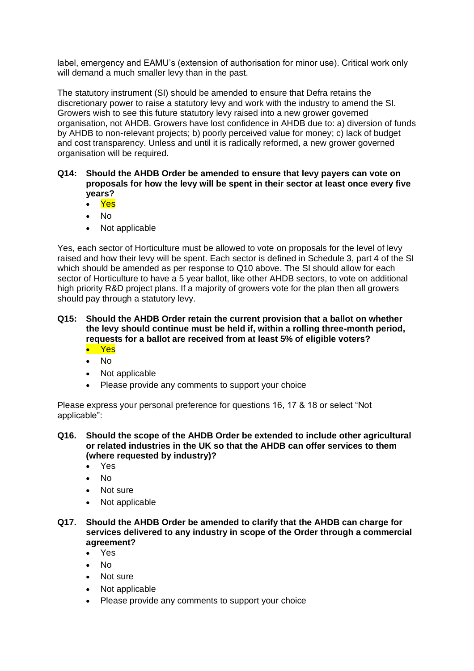label, emergency and EAMU's (extension of authorisation for minor use). Critical work only will demand a much smaller levy than in the past.

The statutory instrument (SI) should be amended to ensure that Defra retains the discretionary power to raise a statutory levy and work with the industry to amend the SI. Growers wish to see this future statutory levy raised into a new grower governed organisation, not AHDB. Growers have lost confidence in AHDB due to: a) diversion of funds by AHDB to non-relevant projects; b) poorly perceived value for money; c) lack of budget and cost transparency. Unless and until it is radically reformed, a new grower governed organisation will be required.

- **Q14: Should the AHDB Order be amended to ensure that levy payers can vote on proposals for how the levy will be spent in their sector at least once every five years?**
	- Yes
	- No
	- Not applicable

Yes, each sector of Horticulture must be allowed to vote on proposals for the level of levy raised and how their levy will be spent. Each sector is defined in Schedule 3, part 4 of the SI which should be amended as per response to Q10 above. The SI should allow for each sector of Horticulture to have a 5 year ballot, like other AHDB sectors, to vote on additional high priority R&D project plans. If a majority of growers vote for the plan then all growers should pay through a statutory levy.

#### **Q15: Should the AHDB Order retain the current provision that a ballot on whether the levy should continue must be held if, within a rolling three-month period, requests for a ballot are received from at least 5% of eligible voters?** • Yes

- No
- 
- Not applicable
- Please provide any comments to support your choice

Please express your personal preference for questions 16, 17 & 18 or select "Not applicable":

**Q16. Should the scope of the AHDB Order be extended to include other agricultural or related industries in the UK so that the AHDB can offer services to them (where requested by industry)?**

- Yes
- $N<sub>0</sub>$
- Not sure
- Not applicable
- **Q17. Should the AHDB Order be amended to clarify that the AHDB can charge for services delivered to any industry in scope of the Order through a commercial agreement?**
	- Yes
	- $N<sub>0</sub>$
	- Not sure
	- Not applicable
	- Please provide any comments to support your choice